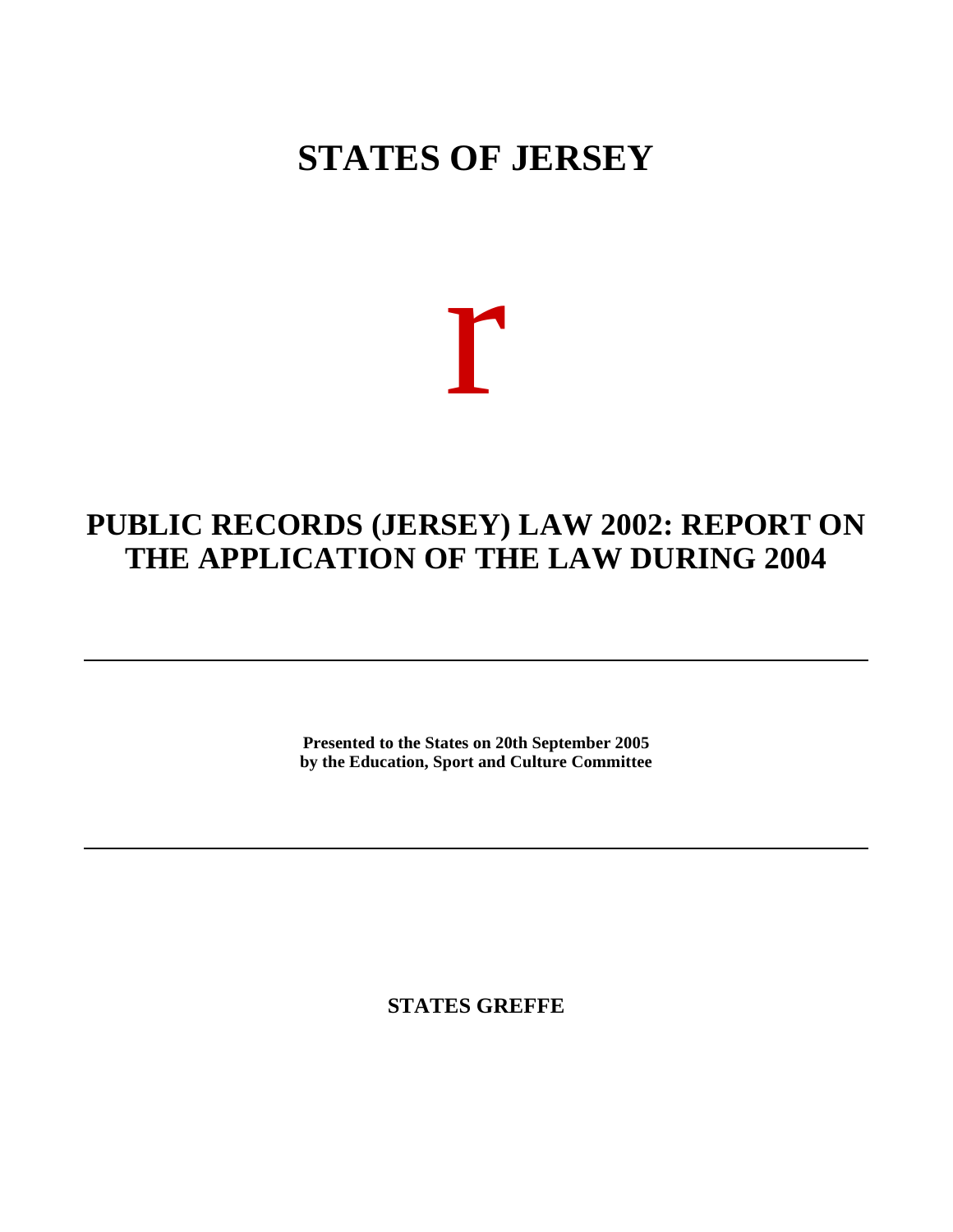## **STATES OF JERSEY**

# r

### **PUBLIC RECORDS (JERSEY) LAW 2002: REPORT ON THE APPLICATION OF THE LAW DURING 2004**

**Presented to the States on 20th September 2005 by the Education, Sport and Culture Committee**

**STATES GREFFE**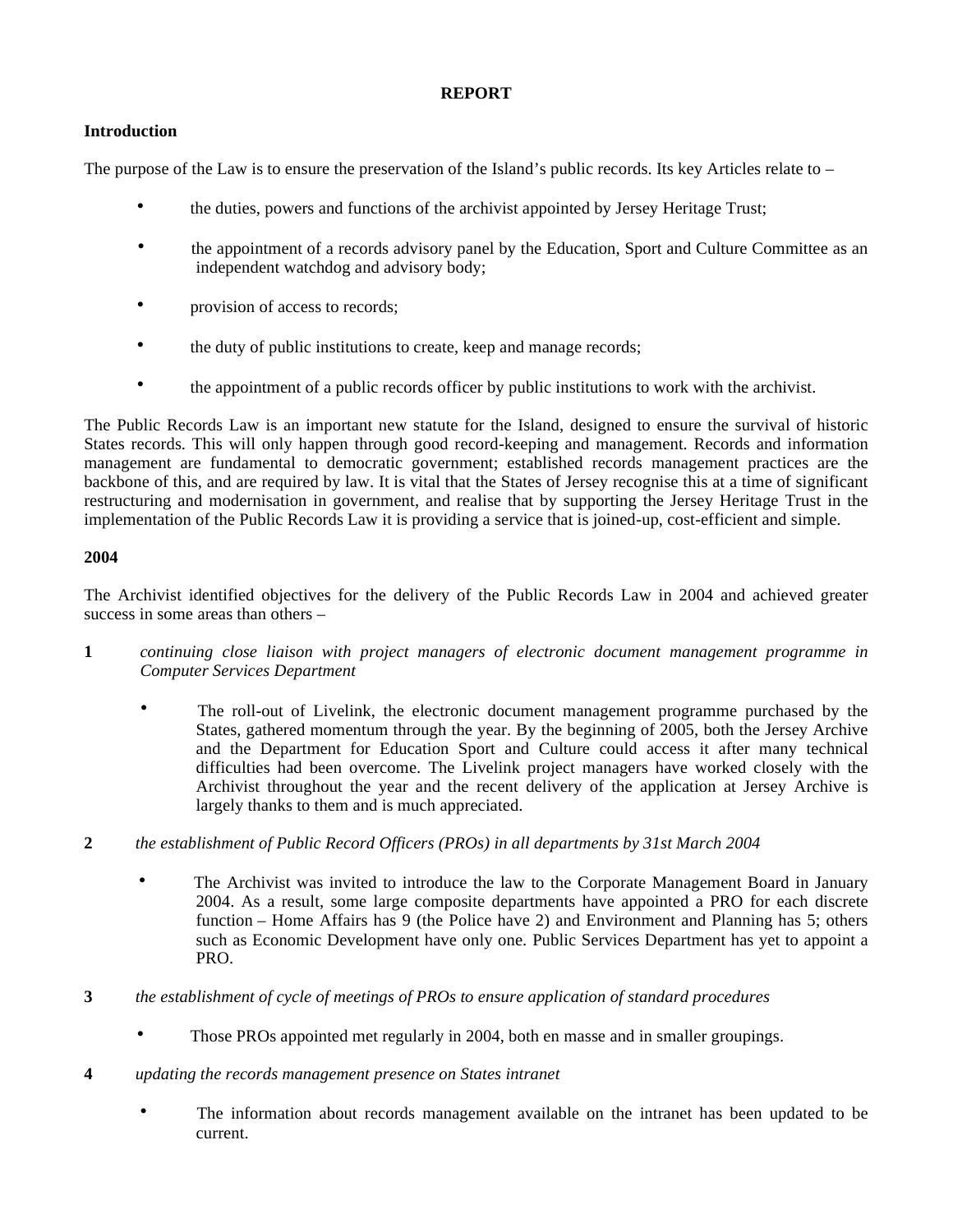#### **REPORT**

#### **Introduction**

The purpose of the Law is to ensure the preservation of the Island's public records. Its key Articles relate to –

- the duties, powers and functions of the archivist appointed by Jersey Heritage Trust;
- the appointment of a records advisory panel by the Education, Sport and Culture Committee as an independent watchdog and advisory body;
- provision of access to records;
- the duty of public institutions to create, keep and manage records;
- the appointment of a public records officer by public institutions to work with the archivist.

The Public Records Law is an important new statute for the Island, designed to ensure the survival of historic States records. This will only happen through good record-keeping and management. Records and information management are fundamental to democratic government; established records management practices are the backbone of this, and are required by law. It is vital that the States of Jersey recognise this at a time of significant restructuring and modernisation in government, and realise that by supporting the Jersey Heritage Trust in the implementation of the Public Records Law it is providing a service that is joined-up, cost-efficient and simple.

#### **2004**

The Archivist identified objectives for the delivery of the Public Records Law in 2004 and achieved greater success in some areas than others –

- **1** *continuing close liaison with project managers of electronic document management programme in Computer Services Department*
	- The roll-out of Livelink, the electronic document management programme purchased by the States, gathered momentum through the year. By the beginning of 2005, both the Jersey Archive and the Department for Education Sport and Culture could access it after many technical difficulties had been overcome. The Livelink project managers have worked closely with the Archivist throughout the year and the recent delivery of the application at Jersey Archive is largely thanks to them and is much appreciated.
- **2** *the establishment of Public Record Officers (PROs) in all departments by 31st March 2004*
	- The Archivist was invited to introduce the law to the Corporate Management Board in January 2004. As a result, some large composite departments have appointed a PRO for each discrete function – Home Affairs has 9 (the Police have 2) and Environment and Planning has 5; others such as Economic Development have only one. Public Services Department has yet to appoint a PRO.
- **3** *the establishment of cycle of meetings of PROs to ensure application of standard procedures*
	- Those PROs appointed met regularly in 2004, both en masse and in smaller groupings.
- **4** *updating the records management presence on States intranet*
	- The information about records management available on the intranet has been updated to be current.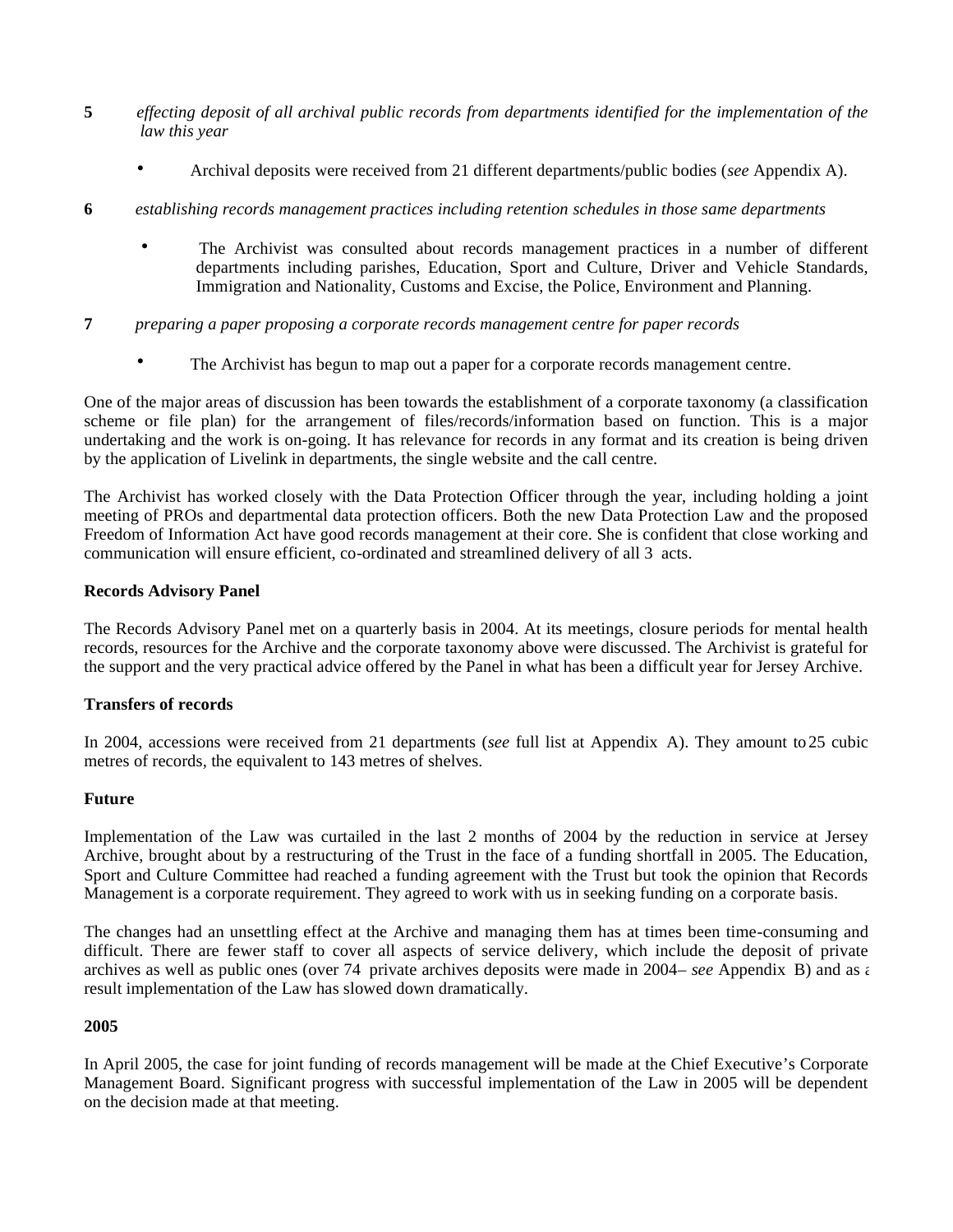- **5** *effecting deposit of all archival public records from departments identified for the implementation of the law this year*
	- Archival deposits were received from 21 different departments/public bodies (*see* Appendix A).
- **6** *establishing records management practices including retention schedules in those same departments*
	- The Archivist was consulted about records management practices in a number of different departments including parishes, Education, Sport and Culture, Driver and Vehicle Standards, Immigration and Nationality, Customs and Excise, the Police, Environment and Planning.
- **7** *preparing a paper proposing a corporate records management centre for paper records*
	- The Archivist has begun to map out a paper for a corporate records management centre.

One of the major areas of discussion has been towards the establishment of a corporate taxonomy (a classification scheme or file plan) for the arrangement of files/records/information based on function. This is a major undertaking and the work is on-going. It has relevance for records in any format and its creation is being driven by the application of Livelink in departments, the single website and the call centre.

The Archivist has worked closely with the Data Protection Officer through the year, including holding a joint meeting of PROs and departmental data protection officers. Both the new Data Protection Law and the proposed Freedom of Information Act have good records management at their core. She is confident that close working and communication will ensure efficient, co-ordinated and streamlined delivery of all 3 acts.

#### **Records Advisory Panel**

The Records Advisory Panel met on a quarterly basis in 2004. At its meetings, closure periods for mental health records, resources for the Archive and the corporate taxonomy above were discussed. The Archivist is grateful for the support and the very practical advice offered by the Panel in what has been a difficult year for Jersey Archive.

#### **Transfers of records**

In 2004, accessions were received from 21 departments (*see* full list at Appendix A). They amount to25 cubic metres of records, the equivalent to 143 metres of shelves.

#### **Future**

Implementation of the Law was curtailed in the last 2 months of 2004 by the reduction in service at Jersey Archive, brought about by a restructuring of the Trust in the face of a funding shortfall in 2005. The Education, Sport and Culture Committee had reached a funding agreement with the Trust but took the opinion that Records Management is a corporate requirement. They agreed to work with us in seeking funding on a corporate basis.

The changes had an unsettling effect at the Archive and managing them has at times been time-consuming and difficult. There are fewer staff to cover all aspects of service delivery, which include the deposit of private archives as well as public ones (over 74 private archives deposits were made in 2004– *see* Appendix B) and as a result implementation of the Law has slowed down dramatically.

#### **2005**

In April 2005, the case for joint funding of records management will be made at the Chief Executive's Corporate Management Board. Significant progress with successful implementation of the Law in 2005 will be dependent on the decision made at that meeting.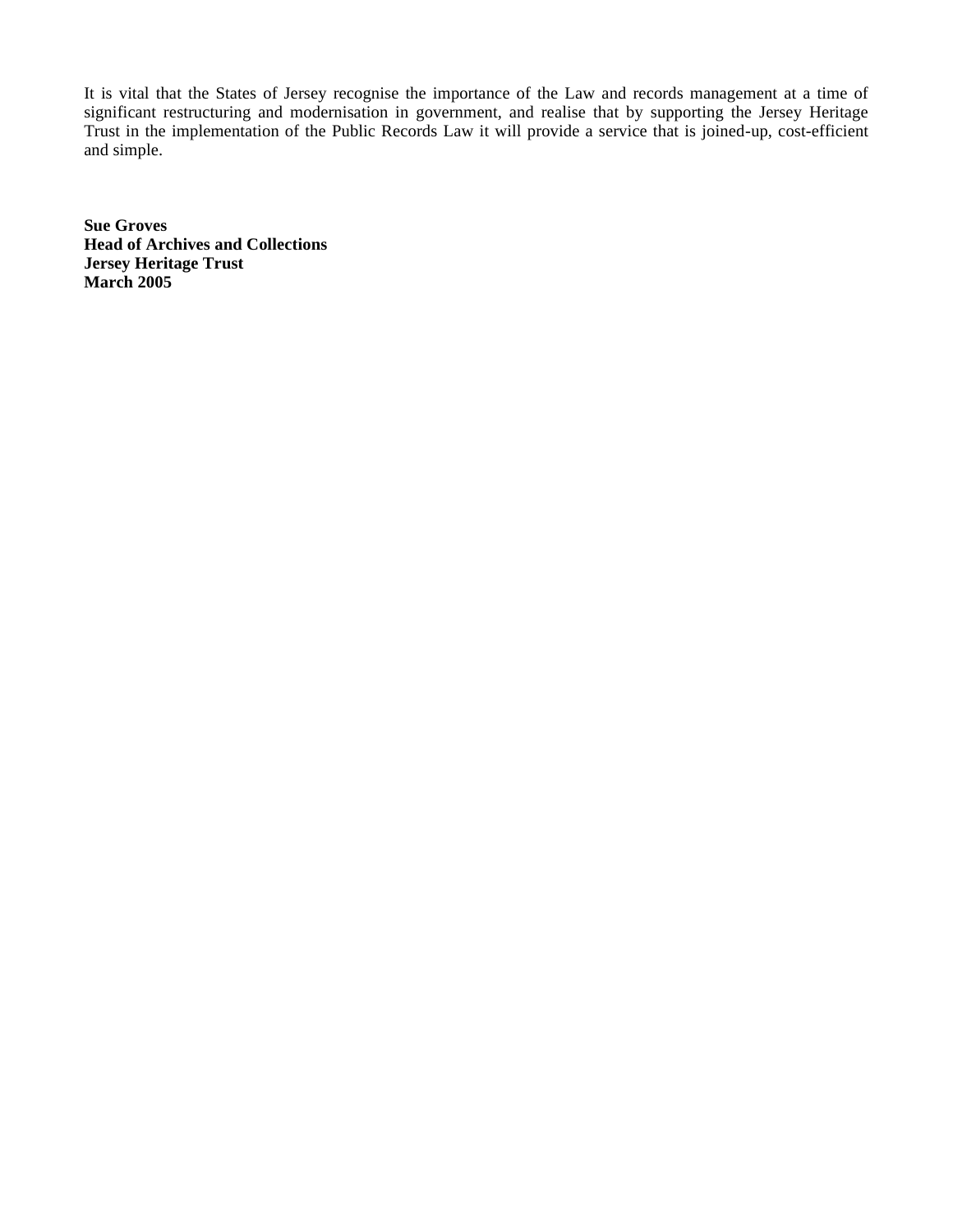It is vital that the States of Jersey recognise the importance of the Law and records management at a time of significant restructuring and modernisation in government, and realise that by supporting the Jersey Heritage Trust in the implementation of the Public Records Law it will provide a service that is joined-up, cost-efficient and simple.

**Sue Groves Head of Archives and Collections Jersey Heritage Trust March 2005**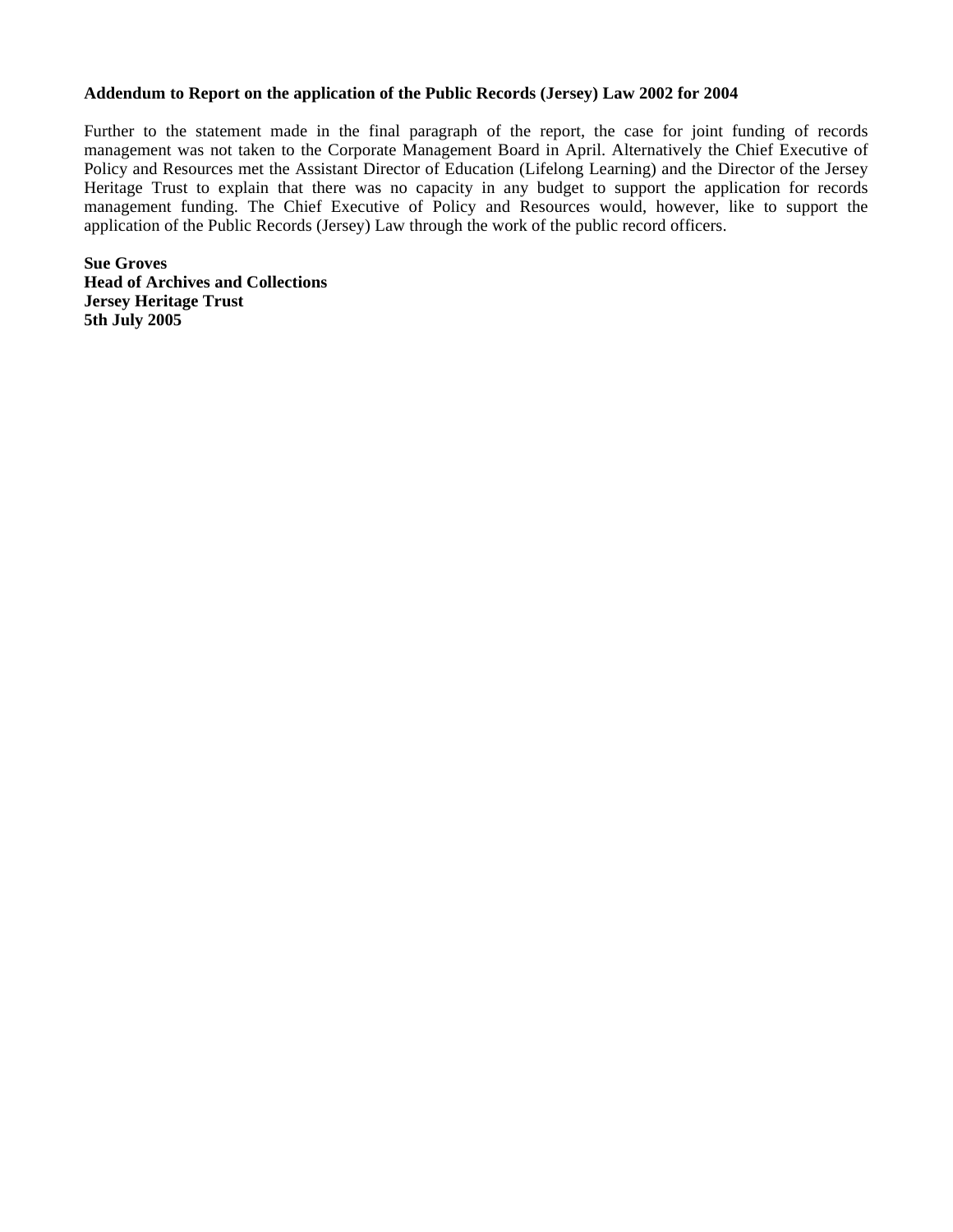#### **Addendum to Report on the application of the Public Records (Jersey) Law 2002 for 2004**

Further to the statement made in the final paragraph of the report, the case for joint funding of records management was not taken to the Corporate Management Board in April. Alternatively the Chief Executive of Policy and Resources met the Assistant Director of Education (Lifelong Learning) and the Director of the Jersey Heritage Trust to explain that there was no capacity in any budget to support the application for records management funding. The Chief Executive of Policy and Resources would, however, like to support the application of the Public Records (Jersey) Law through the work of the public record officers.

**Sue Groves Head of Archives and Collections Jersey Heritage Trust 5th July 2005**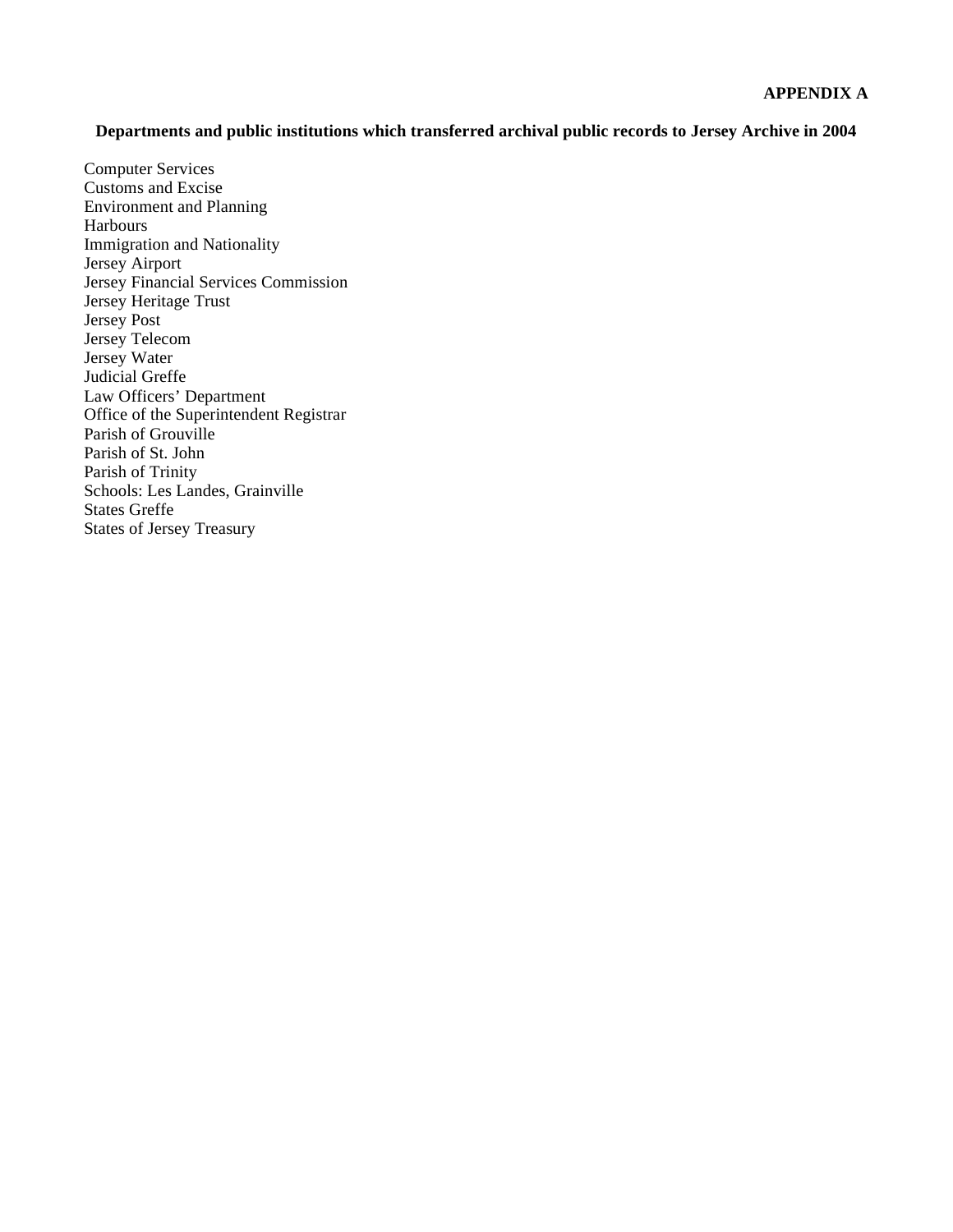#### **Departments and public institutions which transferred archival public records to Jersey Archive in 2004**

Computer Services Customs and Excise Environment and Planning Harbours Immigration and Nationality Jersey Airport Jersey Financial Services Commission Jersey Heritage Trust Jersey Post Jersey Telecom Jersey Water Judicial Greffe Law Officers' Department Office of the Superintendent Registrar Parish of Grouville Parish of St. John Parish of Trinity Schools: Les Landes, Grainville States Greffe States of Jersey Treasury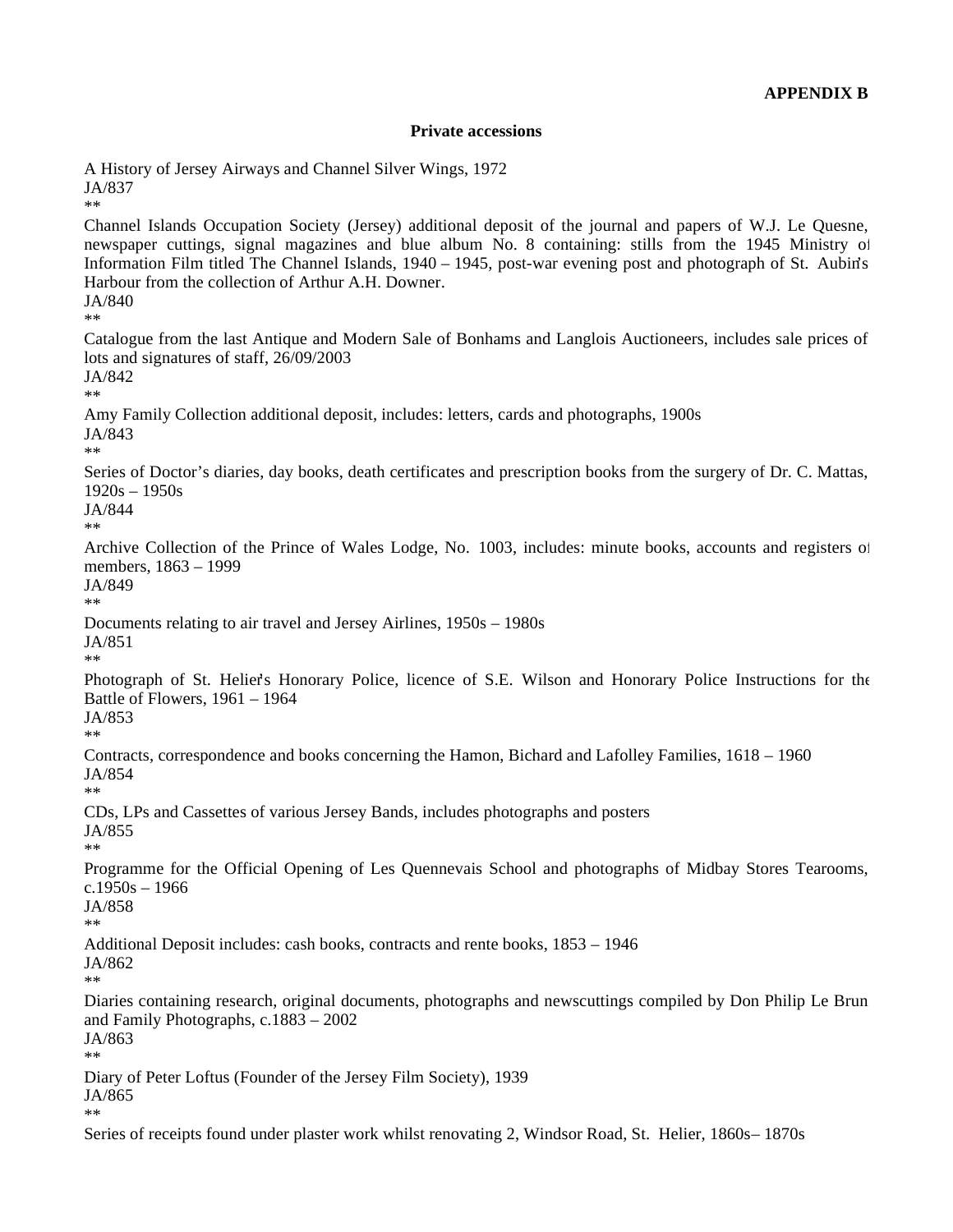#### **Private accessions**

A History of Jersey Airways and Channel Silver Wings, 1972 JA/837

Channel Islands Occupation Society (Jersey) additional deposit of the journal and papers of W.J. Le Quesne, newspaper cuttings, signal magazines and blue album No. 8 containing: stills from the 1945 Ministry of Information Film titled The Channel Islands, 1940 – 1945, post-war evening post and photograph of St. Aubin's Harbour from the collection of Arthur A.H. Downer. JA/840

\*\*

\*\*

Catalogue from the last Antique and Modern Sale of Bonhams and Langlois Auctioneers, includes sale prices of lots and signatures of staff, 26/09/2003

JA/842 \*\*

Amy Family Collection additional deposit, includes: letters, cards and photographs, 1900s JA/843

\*\*

Series of Doctor's diaries, day books, death certificates and prescription books from the surgery of Dr. C. Mattas, 1920s – 1950s

JA/844 \*\*

Archive Collection of the Prince of Wales Lodge, No. 1003, includes: minute books, accounts and registers of members, 1863 – 1999

JA/849

\*\*

Documents relating to air travel and Jersey Airlines, 1950s – 1980s JA/851

\*\*

Photograph of St. Helier's Honorary Police, licence of S.E. Wilson and Honorary Police Instructions for the Battle of Flowers, 1961 – 1964 JA/853

\*\*

Contracts, correspondence and books concerning the Hamon, Bichard and Lafolley Families, 1618 – 1960 JA/854

\*\*

CDs, LPs and Cassettes of various Jersey Bands, includes photographs and posters JA/855

\*\*

Programme for the Official Opening of Les Quennevais School and photographs of Midbay Stores Tearooms,  $c.1950s - 1966$ 

JA/858

\*\*

Additional Deposit includes: cash books, contracts and rente books, 1853 – 1946

JA/862 \*\*

Diaries containing research, original documents, photographs and newscuttings compiled by Don Philip Le Brun and Family Photographs, c.1883 – 2002

JA/863 \*\*

Diary of Peter Loftus (Founder of the Jersey Film Society), 1939

JA/865 \*\*

Series of receipts found under plaster work whilst renovating 2, Windsor Road, St. Helier, 1860s-1870s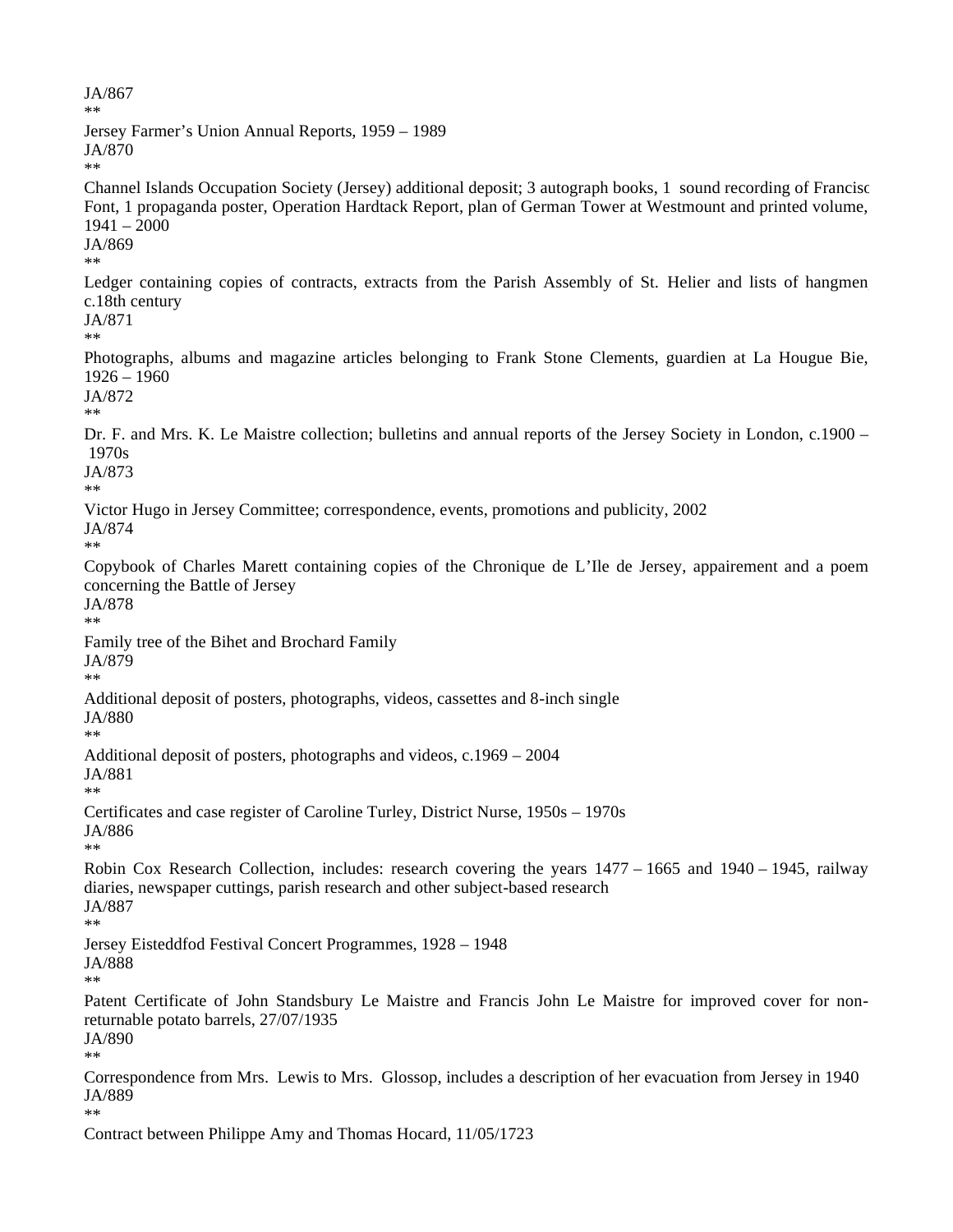JA/867 \*\* Jersey Farmer's Union Annual Reports, 1959 – 1989 JA/870 \*\* Channel Islands Occupation Society (Jersey) additional deposit; 3 autograph books, 1 sound recording of Franciso Font, 1 propaganda poster, Operation Hardtack Report, plan of German Tower at Westmount and printed volume, 1941 – 2000 JA/869 \*\* Ledger containing copies of contracts, extracts from the Parish Assembly of St. Helier and lists of hangmen c.18th century JA/871 \*\* Photographs, albums and magazine articles belonging to Frank Stone Clements, guardien at La Hougue Bie, 1926 – 1960 JA/872 \*\* Dr. F. and Mrs. K. Le Maistre collection; bulletins and annual reports of the Jersey Society in London, c.1900 – 1970s JA/873 \*\* Victor Hugo in Jersey Committee; correspondence, events, promotions and publicity, 2002 JA/874 \*\* Copybook of Charles Marett containing copies of the Chronique de L'Ile de Jersey, appairement and a poem concerning the Battle of Jersey JA/878 \*\* Family tree of the Bihet and Brochard Family JA/879 \*\* Additional deposit of posters, photographs, videos, cassettes and 8-inch single JA/880 \*\* Additional deposit of posters, photographs and videos, c.1969 – 2004 JA/881 \*\* Certificates and case register of Caroline Turley, District Nurse, 1950s – 1970s JA/886 \*\* Robin Cox Research Collection, includes: research covering the years 1477 – 1665 and 1940 – 1945, railway diaries, newspaper cuttings, parish research and other subject-based research JA/887 \*\* Jersey Eisteddfod Festival Concert Programmes, 1928 – 1948 JA/888 \*\* Patent Certificate of John Standsbury Le Maistre and Francis John Le Maistre for improved cover for nonreturnable potato barrels, 27/07/1935 JA/890 \*\* Correspondence from Mrs. Lewis to Mrs. Glossop, includes a description of her evacuation from Jersey in 1940 JA/889 \*\* Contract between Philippe Amy and Thomas Hocard, 11/05/1723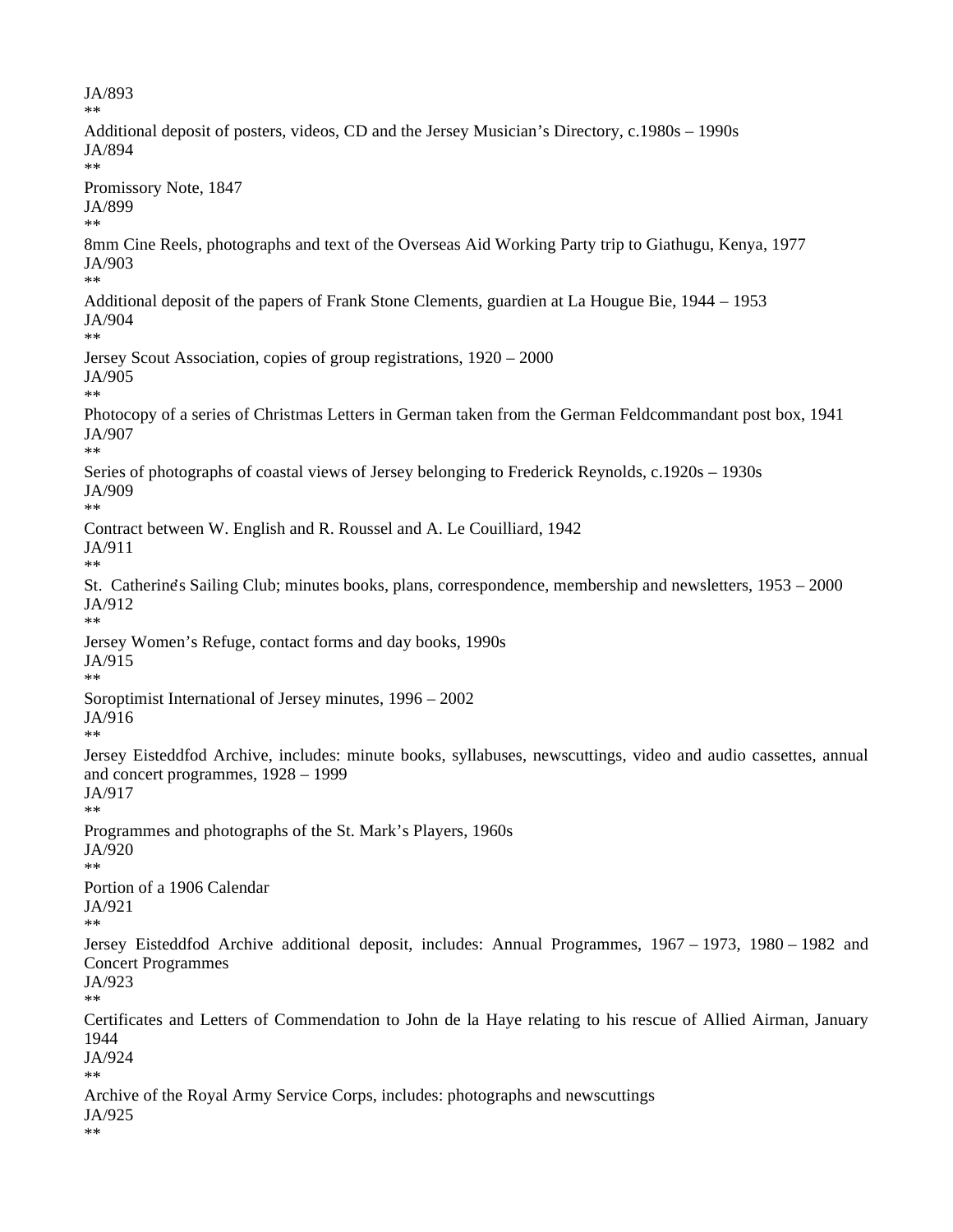JA/893 \*\* Additional deposit of posters, videos, CD and the Jersey Musician's Directory, c.1980s – 1990s JA/894 \*\* Promissory Note, 1847 JA/899 \*\* 8mm Cine Reels, photographs and text of the Overseas Aid Working Party trip to Giathugu, Kenya, 1977 JA/903 \*\* Additional deposit of the papers of Frank Stone Clements, guardien at La Hougue Bie, 1944 – 1953 JA/904 \*\* Jersey Scout Association, copies of group registrations, 1920 – 2000 JA/905 \*\* Photocopy of a series of Christmas Letters in German taken from the German Feldcommandant post box, 1941 JA/907 \*\* Series of photographs of coastal views of Jersey belonging to Frederick Reynolds, c.1920s – 1930s JA/909 \*\* Contract between W. English and R. Roussel and A. Le Couilliard, 1942 JA/911 \*\* St. Catherine's Sailing Club; minutes books, plans, correspondence, membership and newsletters, 1953 – 2000 JA/912 \*\* Jersey Women's Refuge, contact forms and day books, 1990s JA/915 \*\* Soroptimist International of Jersey minutes, 1996 – 2002 JA/916 \*\* Jersey Eisteddfod Archive, includes: minute books, syllabuses, newscuttings, video and audio cassettes, annual and concert programmes, 1928 – 1999 JA/917 \*\* Programmes and photographs of the St. Mark's Players, 1960s JA/920 \*\* Portion of a 1906 Calendar JA/921 \*\* Jersey Eisteddfod Archive additional deposit, includes: Annual Programmes, 1967 – 1973, 1980 – 1982 and Concert Programmes JA/923 \*\* Certificates and Letters of Commendation to John de la Haye relating to his rescue of Allied Airman, January 1944 JA/924 \*\* Archive of the Royal Army Service Corps, includes: photographs and newscuttings JA/925 \*\*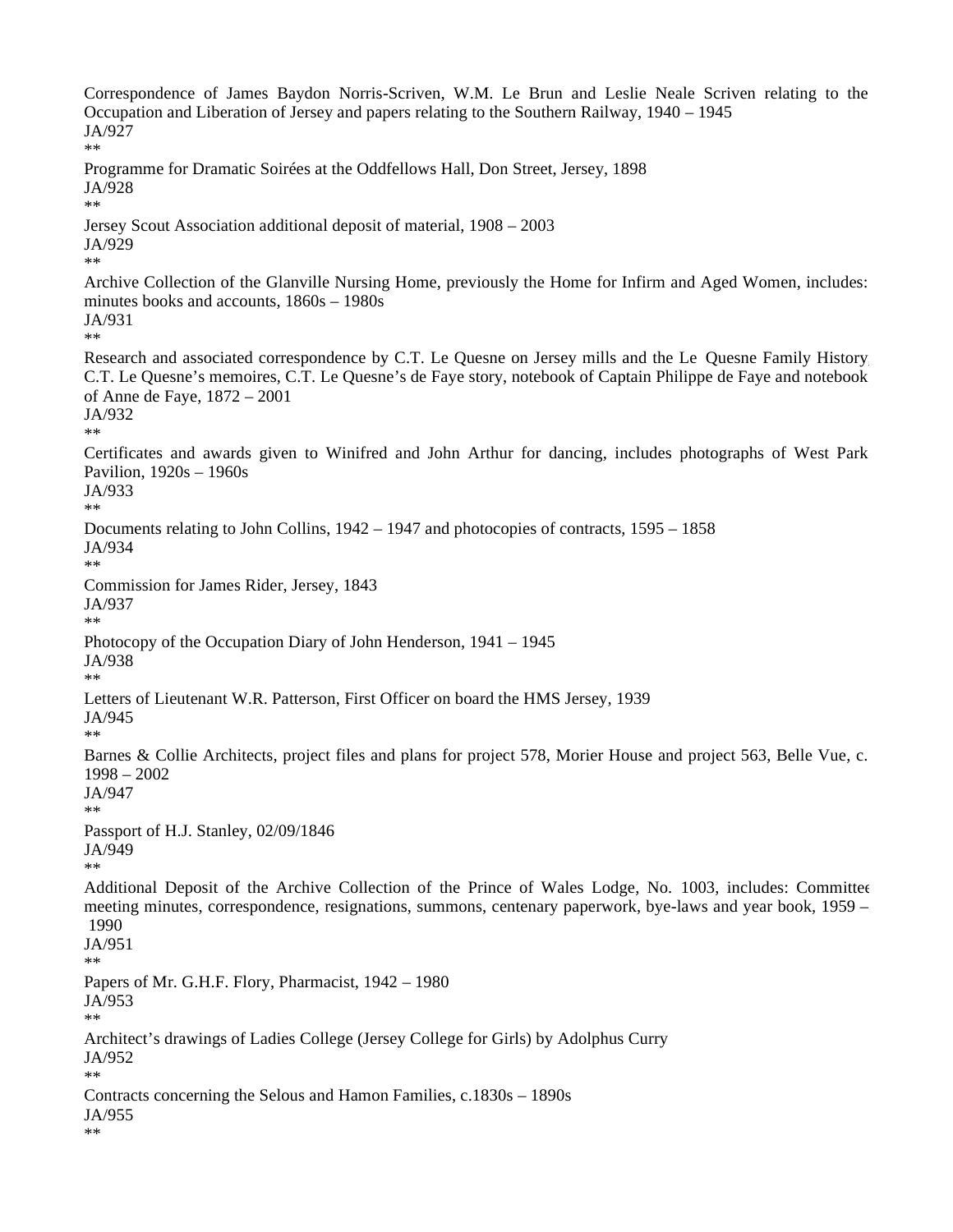Correspondence of James Baydon Norris-Scriven, W.M. Le Brun and Leslie Neale Scriven relating to the Occupation and Liberation of Jersey and papers relating to the Southern Railway, 1940 – 1945 JA/927 \*\* Programme for Dramatic Soirées at the Oddfellows Hall, Don Street, Jersey, 1898 JA/928 \*\* Jersey Scout Association additional deposit of material, 1908 – 2003 JA/929 \*\* Archive Collection of the Glanville Nursing Home, previously the Home for Infirm and Aged Women, includes: minutes books and accounts, 1860s – 1980s JA/931 \*\* Research and associated correspondence by C.T. Le Quesne on Jersey mills and the Le Quesne Family History C.T. Le Quesne's memoires, C.T. Le Quesne's de Faye story, notebook of Captain Philippe de Faye and notebook of Anne de Faye, 1872 – 2001 JA/932 \*\* Certificates and awards given to Winifred and John Arthur for dancing, includes photographs of West Park Pavilion, 1920s – 1960s JA/933 \*\* Documents relating to John Collins, 1942 – 1947 and photocopies of contracts, 1595 – 1858 JA/934 \*\* Commission for James Rider, Jersey, 1843 JA/937 \*\* Photocopy of the Occupation Diary of John Henderson, 1941 – 1945 JA/938 \*\* Letters of Lieutenant W.R. Patterson, First Officer on board the HMS Jersey, 1939 JA/945 \*\* Barnes & Collie Architects, project files and plans for project 578, Morier House and project 563, Belle Vue, c. 1998 – 2002 JA/947 \*\* Passport of H.J. Stanley, 02/09/1846 JA/949 \*\* Additional Deposit of the Archive Collection of the Prince of Wales Lodge, No. 1003, includes: Committee meeting minutes, correspondence, resignations, summons, centenary paperwork, bye-laws and year book, 1959 – 1990 JA/951 \*\* Papers of Mr. G.H.F. Flory, Pharmacist, 1942 – 1980 JA/953 \*\* Architect's drawings of Ladies College (Jersey College for Girls) by Adolphus Curry JA/952 \*\* Contracts concerning the Selous and Hamon Families, c.1830s – 1890s JA/955 \*\*